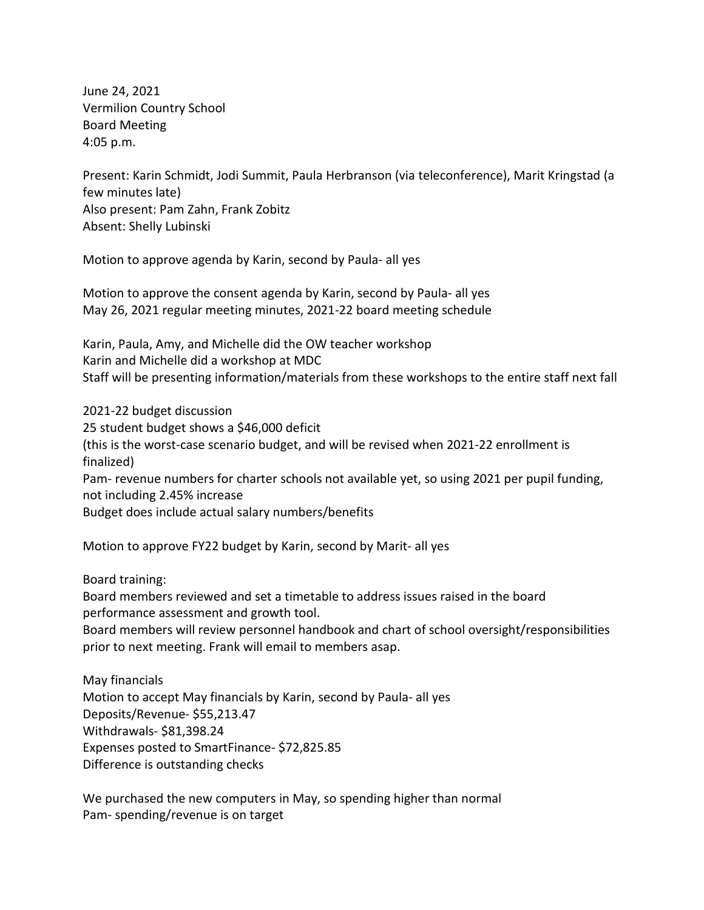June 24, 2021 Vermilion Country School Board Meeting 4:05 p.m.

Present: Karin Schmidt, Jodi Summit, Paula Herbranson (via teleconference), Marit Kringstad (a few minutes late) Also present: Pam Zahn, Frank Zobitz Absent: Shelly Lubinski

Motion to approve agenda by Karin, second by Paula- all yes

Motion to approve the consent agenda by Karin, second by Paula- all yes May 26, 2021 regular meeting minutes, 2021-22 board meeting schedule

Karin, Paula, Amy, and Michelle did the OW teacher workshop Karin and Michelle did a workshop at MDC Staff will be presenting information/materials from these workshops to the entire staff next fall

2021-22 budget discussion 25 student budget shows a \$46,000 deficit (this is the worst-case scenario budget, and will be revised when 2021-22 enrollment is finalized) Pam- revenue numbers for charter schools not available yet, so using 2021 per pupil funding, not including 2.45% increase Budget does include actual salary numbers/benefits

Motion to approve FY22 budget by Karin, second by Marit- all yes

Board training:

Board members reviewed and set a timetable to address issues raised in the board performance assessment and growth tool.

Board members will review personnel handbook and chart of school oversight/responsibilities prior to next meeting. Frank will email to members asap.

May financials Motion to accept May financials by Karin, second by Paula- all yes Deposits/Revenue- \$55,213.47 Withdrawals- \$81,398.24 Expenses posted to SmartFinance- \$72,825.85 Difference is outstanding checks

We purchased the new computers in May, so spending higher than normal Pam- spending/revenue is on target